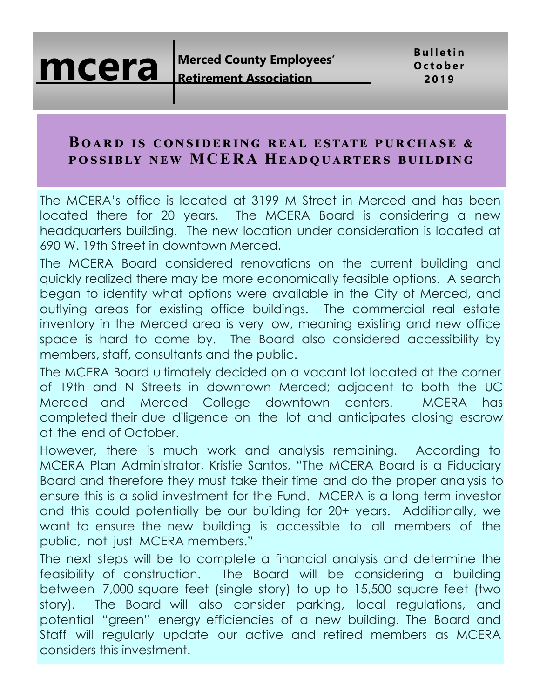**B u l l e t i n**

## **Board i s cons idering real e stat e purchas e & pos s i bly new MCERA Headquart ers bui lding**

The MCERA's office is located at 3199 M Street in Merced and has been located there for 20 years. The MCERA Board is considering a new headquarters building. The new location under consideration is located at 690 W. 19th Street in downtown Merced.

The MCERA Board considered renovations on the current building and quickly realized there may be more economically feasible options. A search began to identify what options were available in the City of Merced, and outlying areas for existing office buildings. The commercial real estate inventory in the Merced area is very low, meaning existing and new office space is hard to come by. The Board also considered accessibility by members, staff, consultants and the public.

The MCERA Board ultimately decided on a vacant lot located at the corner of 19th and N Streets in downtown Merced; adjacent to both the UC Merced and Merced College downtown centers. MCERA has completed their due diligence on the lot and anticipates closing escrow at the end of October.

However, there is much work and analysis remaining. According to MCERA Plan Administrator, Kristie Santos, "The MCERA Board is a Fiduciary Board and therefore they must take their time and do the proper analysis to ensure this is a solid investment for the Fund. MCERA is a long term investor and this could potentially be our building for 20+ years. Additionally, we want to ensure the new building is accessible to all members of the public, not just MCERA members."

The next steps will be to complete a financial analysis and determine the feasibility of construction. The Board will be considering a building between 7,000 square feet (single story) to up to 15,500 square feet (two story). The Board will also consider parking, local regulations, and potential "green" energy efficiencies of a new building. The Board and Staff will regularly update our active and retired members as MCERA considers this investment.